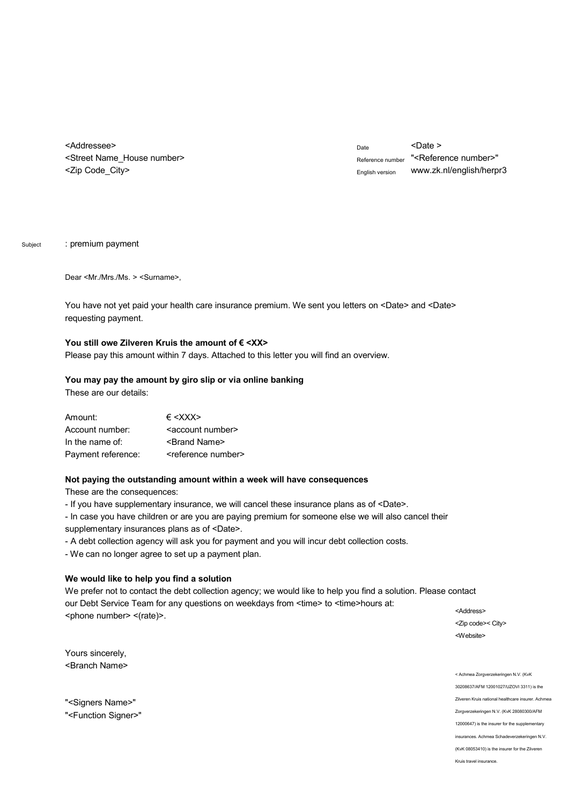<Addressee> <Street Name\_House number> <Zip Code\_City>

 $_{\text{Date}}$  <Date > Reference number "<Reference number>" English version w[ww.zk.nl/english/herpr3](www.zk.nl/english/herpr3)

Subject : premium payment

Dear <Mr./Mrs./Ms. > <Surname>,

You have not yet paid your health care insurance premium. We sent you letters on <Date> and <Date> requesting payment.

## You still owe Zilveren Kruis the amount of € <XX>

Please pay this amount within 7 days. Attached to this letter you will find an overview.

#### **You may pay the amount by giro slip or via online banking**

These are our details:

| Amount:            | $\epsilon$ < X X X $>$            |
|--------------------|-----------------------------------|
| Account number:    | <account number=""></account>     |
| In the name of:    | <brand name=""></brand>           |
| Payment reference: | <reference number=""></reference> |

#### **Not paying the outstanding amount within a week will have consequences**

These are the consequences:

- If you have supplementary insurance, we will cancel these insurance plans as of <Date>.
- In case you have children or are you are paying premium for someone else we will also cancel their supplementary insurances plans as of <Date>.
- A debt collection agency will ask you for payment and you will incur debt collection costs.
- We can no longer agree to set up a payment plan.

### **We would like to help you find a solution**

We prefer not to contact the debt collection agency; we would like to help you find a solution. Please contact our Debt Service Team for any questions on weekdays from <time> to <time>hours at: <phone number> <(rate)>.

<Address> <Zip code>< City> <Website>

Yours sincerely, <Branch Name>

"<Signers Name>" "<Function Signer>" < Achmea Zorgverzekeringen N.V. (KvK 30208637/AFM 12001027/UZOVI 3311) is the Zilveren Kruis national healthcare insurer. Achmea Zorgverzekeringen N.V. (KvK 28080300/AFM 12000647) is the insurer for the supplementary insurances. Achmea Schadeverzekeringen N.V. (KvK 08053410) is the insurer for the Zilveren Kruis travel insurance.